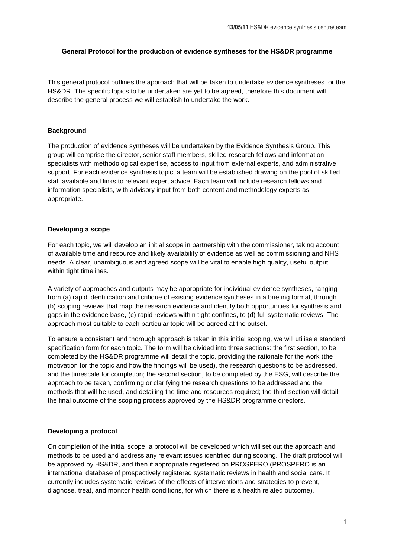### **General Protocol for the production of evidence syntheses for the HS&DR programme**

This general protocol outlines the approach that will be taken to undertake evidence syntheses for the HS&DR. The specific topics to be undertaken are yet to be agreed, therefore this document will describe the general process we will establish to undertake the work.

### **Background**

The production of evidence syntheses will be undertaken by the Evidence Synthesis Group. This group will comprise the director, senior staff members, skilled research fellows and information specialists with methodological expertise, access to input from external experts, and administrative support. For each evidence synthesis topic, a team will be established drawing on the pool of skilled staff available and links to relevant expert advice. Each team will include research fellows and information specialists, with advisory input from both content and methodology experts as appropriate.

### **Developing a scope**

For each topic, we will develop an initial scope in partnership with the commissioner, taking account of available time and resource and likely availability of evidence as well as commissioning and NHS needs. A clear, unambiguous and agreed scope will be vital to enable high quality, useful output within tight timelines.

A variety of approaches and outputs may be appropriate for individual evidence syntheses, ranging from (a) rapid identification and critique of existing evidence syntheses in a briefing format, through (b) scoping reviews that map the research evidence and identify both opportunities for synthesis and gaps in the evidence base, (c) rapid reviews within tight confines, to (d) full systematic reviews. The approach most suitable to each particular topic will be agreed at the outset.

To ensure a consistent and thorough approach is taken in this initial scoping, we will utilise a standard specification form for each topic. The form will be divided into three sections: the first section, to be completed by the HS&DR programme will detail the topic, providing the rationale for the work (the motivation for the topic and how the findings will be used), the research questions to be addressed, and the timescale for completion; the second section, to be completed by the ESG, will describe the approach to be taken, confirming or clarifying the research questions to be addressed and the methods that will be used, and detailing the time and resources required; the third section will detail the final outcome of the scoping process approved by the HS&DR programme directors.

# **Developing a protocol**

On completion of the initial scope, a protocol will be developed which will set out the approach and methods to be used and address any relevant issues identified during scoping. The draft protocol will be approved by HS&DR, and then if appropriate registered on PROSPERO (PROSPERO is an international database of prospectively registered systematic reviews in health and social care. It currently includes systematic reviews of the effects of interventions and strategies to prevent, diagnose, treat, and monitor health conditions, for which there is a health related outcome).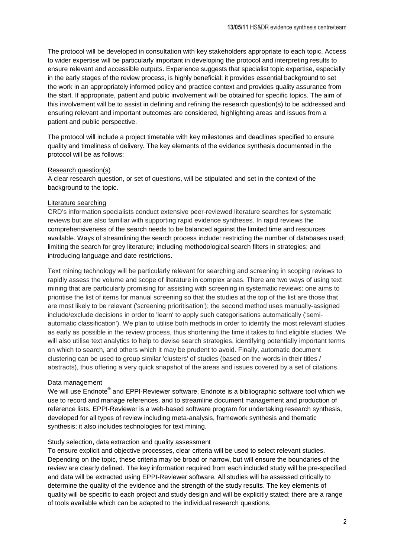The protocol will be developed in consultation with key stakeholders appropriate to each topic. Access to wider expertise will be particularly important in developing the protocol and interpreting results to ensure relevant and accessible outputs. Experience suggests that specialist topic expertise, especially in the early stages of the review process, is highly beneficial; it provides essential background to set the work in an appropriately informed policy and practice context and provides quality assurance from the start. If appropriate, patient and public involvement will be obtained for specific topics. The aim of this involvement will be to assist in defining and refining the research question(s) to be addressed and ensuring relevant and important outcomes are considered, highlighting areas and issues from a patient and public perspective.

The protocol will include a project timetable with key milestones and deadlines specified to ensure quality and timeliness of delivery. The key elements of the evidence synthesis documented in the protocol will be as follows:

#### Research question(s)

A clear research question, or set of questions, will be stipulated and set in the context of the background to the topic.

### Literature searching

CRD's information specialists conduct extensive peer-reviewed literature searches for systematic reviews but are also familiar with supporting rapid evidence syntheses. In rapid reviews the comprehensiveness of the search needs to be balanced against the limited time and resources available. Ways of streamlining the search process include: restricting the number of databases used; limiting the search for grey literature; including methodological search filters in strategies; and introducing language and date restrictions.

Text mining technology will be particularly relevant for searching and screening in scoping reviews to rapidly assess the volume and scope of literature in complex areas. There are two ways of using text mining that are particularly promising for assisting with screening in systematic reviews: one aims to prioritise the list of items for manual screening so that the studies at the top of the list are those that are most likely to be relevant ('screening prioritisation'); the second method uses manually-assigned include/exclude decisions in order to 'learn' to apply such categorisations automatically ('semiautomatic classification'). We plan to utilise both methods in order to identify the most relevant studies as early as possible in the review process, thus shortening the time it takes to find eligible studies. We will also utilise text analytics to help to devise search strategies, identifying potentially important terms on which to search, and others which it may be prudent to avoid. Finally, automatic document clustering can be used to group similar 'clusters' of studies (based on the words in their titles / abstracts), thus offering a very quick snapshot of the areas and issues covered by a set of citations.

# Data management

We will use Endnote $^\circledast$  and EPPI-Reviewer software. Endnote is a bibliographic software tool which we use to record and manage references, and to streamline document management and production of reference lists. EPPI-Reviewer is a web-based software program for undertaking research synthesis, developed for all types of review including meta-analysis, framework synthesis and thematic synthesis; it also includes technologies for text mining.

#### Study selection, data extraction and quality assessment

To ensure explicit and objective processes, clear criteria will be used to select relevant studies. Depending on the topic, these criteria may be broad or narrow, but will ensure the boundaries of the review are clearly defined. The key information required from each included study will be pre-specified and data will be extracted using EPPI-Reviewer software. All studies will be assessed critically to determine the quality of the evidence and the strength of the study results. The key elements of quality will be specific to each project and study design and will be explicitly stated; there are a range of tools available which can be adapted to the individual research questions.